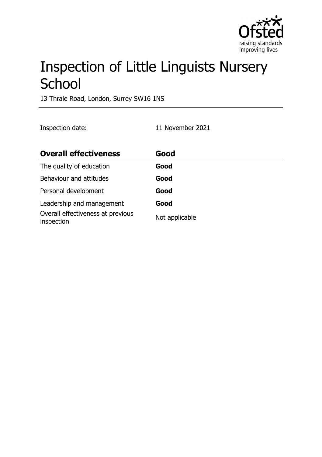

# Inspection of Little Linguists Nursery **School**

13 Thrale Road, London, Surrey SW16 1NS

Inspection date: 11 November 2021

| <b>Overall effectiveness</b>                    | Good           |
|-------------------------------------------------|----------------|
| The quality of education                        | Good           |
| Behaviour and attitudes                         | Good           |
| Personal development                            | Good           |
| Leadership and management                       | Good           |
| Overall effectiveness at previous<br>inspection | Not applicable |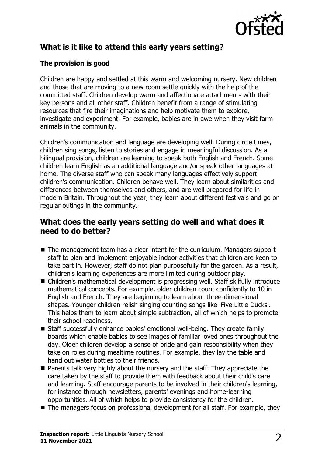

# **What is it like to attend this early years setting?**

#### **The provision is good**

Children are happy and settled at this warm and welcoming nursery. New children and those that are moving to a new room settle quickly with the help of the committed staff. Children develop warm and affectionate attachments with their key persons and all other staff. Children benefit from a range of stimulating resources that fire their imaginations and help motivate them to explore, investigate and experiment. For example, babies are in awe when they visit farm animals in the community.

Children's communication and language are developing well. During circle times, children sing songs, listen to stories and engage in meaningful discussion. As a bilingual provision, children are learning to speak both English and French. Some children learn English as an additional language and/or speak other languages at home. The diverse staff who can speak many languages effectively support children's communication. Children behave well. They learn about similarities and differences between themselves and others, and are well prepared for life in modern Britain. Throughout the year, they learn about different festivals and go on regular outings in the community.

## **What does the early years setting do well and what does it need to do better?**

- $\blacksquare$  The management team has a clear intent for the curriculum. Managers support staff to plan and implement enjoyable indoor activities that children are keen to take part in. However, staff do not plan purposefully for the garden. As a result, children's learning experiences are more limited during outdoor play.
- Children's mathematical development is progressing well. Staff skilfully introduce mathematical concepts. For example, older children count confidently to 10 in English and French. They are beginning to learn about three-dimensional shapes. Younger children relish singing counting songs like 'Five Little Ducks'. This helps them to learn about simple subtraction, all of which helps to promote their school readiness.
- Staff successfully enhance babies' emotional well-being. They create family boards which enable babies to see images of familiar loved ones throughout the day. Older children develop a sense of pride and gain responsibility when they take on roles during mealtime routines. For example, they lay the table and hand out water bottles to their friends.
- $\blacksquare$  Parents talk very highly about the nursery and the staff. They appreciate the care taken by the staff to provide them with feedback about their child's care and learning. Staff encourage parents to be involved in their children's learning, for instance through newsletters, parents' evenings and home-learning opportunities. All of which helps to provide consistency for the children.
- $\blacksquare$  The managers focus on professional development for all staff. For example, they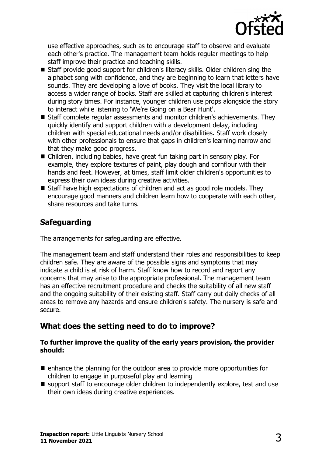

use effective approaches, such as to encourage staff to observe and evaluate each other's practice. The management team holds regular meetings to help staff improve their practice and teaching skills.

- Staff provide good support for children's literacy skills. Older children sing the alphabet song with confidence, and they are beginning to learn that letters have sounds. They are developing a love of books. They visit the local library to access a wider range of books. Staff are skilled at capturing children's interest during story times. For instance, younger children use props alongside the story to interact while listening to 'We're Going on a Bear Hunt'.
- $\blacksquare$  Staff complete regular assessments and monitor children's achievements. They quickly identify and support children with a development delay, including children with special educational needs and/or disabilities. Staff work closely with other professionals to ensure that gaps in children's learning narrow and that they make good progress.
- Children, including babies, have great fun taking part in sensory play. For example, they explore textures of paint, play dough and cornflour with their hands and feet. However, at times, staff limit older children's opportunities to express their own ideas during creative activities.
- $\blacksquare$  Staff have high expectations of children and act as good role models. They encourage good manners and children learn how to cooperate with each other, share resources and take turns.

## **Safeguarding**

The arrangements for safeguarding are effective.

The management team and staff understand their roles and responsibilities to keep children safe. They are aware of the possible signs and symptoms that may indicate a child is at risk of harm. Staff know how to record and report any concerns that may arise to the appropriate professional. The management team has an effective recruitment procedure and checks the suitability of all new staff and the ongoing suitability of their existing staff. Staff carry out daily checks of all areas to remove any hazards and ensure children's safety. The nursery is safe and secure.

# **What does the setting need to do to improve?**

#### **To further improve the quality of the early years provision, the provider should:**

- $\blacksquare$  enhance the planning for the outdoor area to provide more opportunities for children to engage in purposeful play and learning
- $\blacksquare$  support staff to encourage older children to independently explore, test and use their own ideas during creative experiences.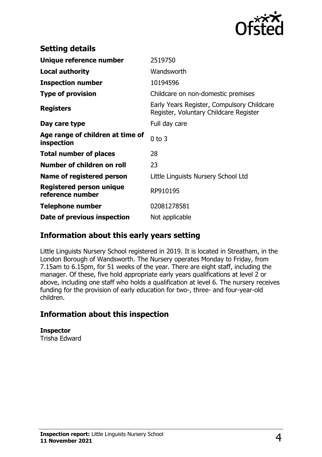

| <b>Setting details</b>                         |                                                                                      |
|------------------------------------------------|--------------------------------------------------------------------------------------|
| Unique reference number                        | 2519750                                                                              |
| Local authority                                | Wandsworth                                                                           |
| <b>Inspection number</b>                       | 10194596                                                                             |
| <b>Type of provision</b>                       | Childcare on non-domestic premises                                                   |
| <b>Registers</b>                               | Early Years Register, Compulsory Childcare<br>Register, Voluntary Childcare Register |
| Day care type                                  | Full day care                                                                        |
| Age range of children at time of<br>inspection | $0$ to $3$                                                                           |
| <b>Total number of places</b>                  | 28                                                                                   |
| Number of children on roll                     | 23                                                                                   |
| Name of registered person                      | Little Linguists Nursery School Ltd                                                  |
| Registered person unique<br>reference number   | RP910195                                                                             |
| <b>Telephone number</b>                        | 02081278581                                                                          |
| Date of previous inspection                    | Not applicable                                                                       |

## **Information about this early years setting**

Little Linguists Nursery School registered in 2019. It is located in Streatham, in the London Borough of Wandsworth. The Nursery operates Monday to Friday, from 7.15am to 6.15pm, for 51 weeks of the year. There are eight staff, including the manager. Of these, five hold appropriate early years qualifications at level 2 or above, including one staff who holds a qualification at level 6. The nursery receives funding for the provision of early education for two-, three- and four-year-old children.

# **Information about this inspection**

**Inspector** Trisha Edward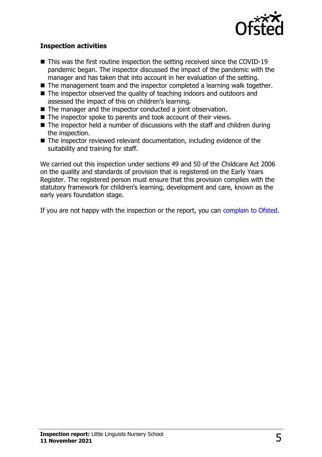

#### **Inspection activities**

- $\blacksquare$  This was the first routine inspection the setting received since the COVID-19 pandemic began. The inspector discussed the impact of the pandemic with the manager and has taken that into account in her evaluation of the setting.
- $\blacksquare$  The management team and the inspector completed a learning walk together.
- $\blacksquare$  The inspector observed the quality of teaching indoors and outdoors and assessed the impact of this on children's learning.
- $\blacksquare$  The manager and the inspector conducted a joint observation.
- $\blacksquare$  The inspector spoke to parents and took account of their views.
- $\blacksquare$  The inspector held a number of discussions with the staff and children during the inspection.
- $\blacksquare$  The inspector reviewed relevant documentation, including evidence of the suitability and training for staff.

We carried out this inspection under sections 49 and 50 of the Childcare Act 2006 on the quality and standards of provision that is registered on the Early Years Register. The registered person must ensure that this provision complies with the statutory framework for children's learning, development and care, known as the early years foundation stage.

If you are not happy with the inspection or the report, you can [complain to Ofsted](http://www.gov.uk/complain-ofsted-report).